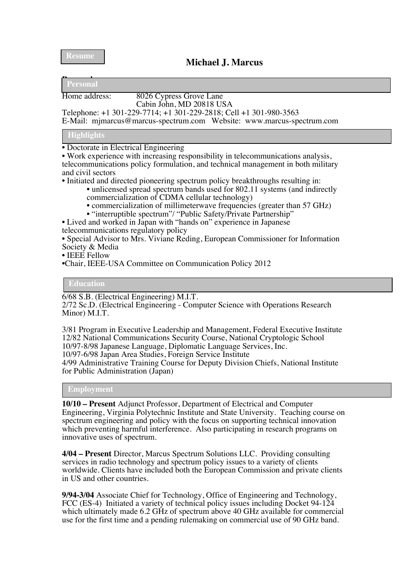**Resume**

# **Michael J. Marcus**

**Personal Personal**

#### Home address: 8026 Cypress Grove Lane Cabin John, MD 20818 USA

Telephone: +1 301-229-7714; +1 301-229-2818; Cell +1 301-980-3563

E-Mail: mjmarcus@marcus-spectrum.com Website: www.marcus-spectrum.com

## **Highlights**

• Doctorate in Electrical Engineering

• Work experience with increasing responsibility in telecommunications analysis, telecommunications policy formulation, and technical management in both military and civil sectors

• Initiated and directed pioneering spectrum policy breakthroughs resulting in:

- unlicensed spread spectrum bands used for 802.11 systems (and indirectly commercialization of CDMA cellular technology)
	- commercialization of millimeterwave frequencies (greater than 57 GHz)
- "interruptible spectrum"/ "Public Safety/Private Partnership"

• Lived and worked in Japan with "hands on" experience in Japanese telecommunications regulatory policy

• Special Advisor to Mrs. Viviane Reding, European Commissioner for Information Society & Media

• IEEE Fellow

•Chair, IEEE-USA Committee on Communication Policy 2012

## **Education**

6/68 S.B. (Electrical Engineering) M.I.T.

2/72 Sc.D. (Electrical Engineering - Computer Science with Operations Research Minor) M.I.T.

3/81 Program in Executive Leadership and Management, Federal Executive Institute 12/82 National Communications Security Course, National Cryptologic School 10/97-8/98 Japanese Language, Diplomatic Language Services, Inc. 10/97-6/98 Japan Area Studies, Foreign Service Institute 4/99 Administrative Training Course for Deputy Division Chiefs, National Institute for Public Administration (Japan)

**Employment**

**10/10 – Present** Adjunct Professor, Department of Electrical and Computer Engineering, Virginia Polytechnic Institute and State University. Teaching course on spectrum engineering and policy with the focus on supporting technical innovation which preventing harmful interference. Also participating in research programs on innovative uses of spectrum.

**4/04 – Present** Director, Marcus Spectrum Solutions LLC. Providing consulting services in radio technology and spectrum policy issues to a variety of clients worldwide. Clients have included both the European Commission and private clients in US and other countries.

**9/94-3/04** Associate Chief for Technology, Office of Engineering and Technology, FCC (ES-4) Initiated a variety of technical policy issues including Docket 94-124 which ultimately made 6.2 GHz of spectrum above 40 GHz available for commercial use for the first time and a pending rulemaking on commercial use of 90 GHz band.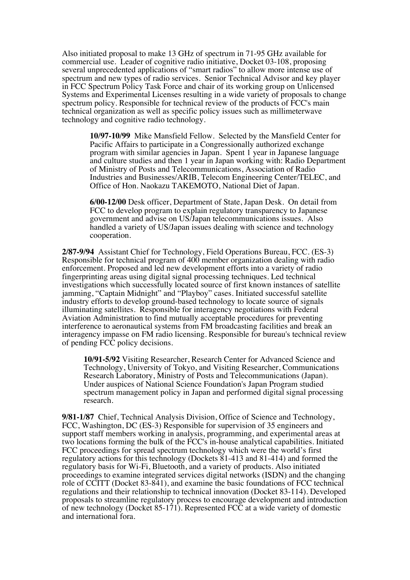Also initiated proposal to make 13 GHz of spectrum in 71-95 GHz available for commercial use. Leader of cognitive radio initiative, Docket 03-108, proposing several unprecedented applications of "smart radios" to allow more intense use of spectrum and new types of radio services. Senior Technical Advisor and key player in FCC Spectrum Policy Task Force and chair of its working group on Unlicensed Systems and Experimental Licenses resulting in a wide variety of proposals to change spectrum policy. Responsible for technical review of the products of FCC's main technical organization as well as specific policy issues such as millimeterwave technology and cognitive radio technology.

**10/97-10/99** Mike Mansfield Fellow. Selected by the Mansfield Center for Pacific Affairs to participate in a Congressionally authorized exchange program with similar agencies in Japan. Spent 1 year in Japanese language and culture studies and then 1 year in Japan working with: Radio Department of Ministry of Posts and Telecommunications, Association of Radio Industries and Businesses/ARIB, Telecom Engineering Center/TELEC, and Office of Hon. Naokazu TAKEMOTO, National Diet of Japan.

**6/00-12/00** Desk officer, Department of State, Japan Desk. On detail from FCC to develop program to explain regulatory transparency to Japanese government and advise on US/Japan telecommunications issues. Also handled a variety of US/Japan issues dealing with science and technology cooperation.

**2/87-9/94** Assistant Chief for Technology, Field Operations Bureau, FCC. (ES-3) Responsible for technical program of 400 member organization dealing with radio enforcement. Proposed and led new development efforts into a variety of radio fingerprinting areas using digital signal processing techniques. Led technical investigations which successfully located source of first known instances of satellite jamming, "Captain Midnight" and "Playboy" cases. Initiated successful satellite industry efforts to develop ground-based technology to locate source of signals illuminating satellites. Responsible for interagency negotiations with Federal Aviation Administration to find mutually acceptable procedures for preventing interference to aeronautical systems from FM broadcasting facilities and break an interagency impasse on FM radio licensing. Responsible for bureau's technical review of pending FCC policy decisions.

**10/91-5/92** Visiting Researcher, Research Center for Advanced Science and Technology, University of Tokyo, and Visiting Researcher, Communications Research Laboratory, Ministry of Posts and Telecommunications (Japan). Under auspices of National Science Foundation's Japan Program studied spectrum management policy in Japan and performed digital signal processing research.

**9/81-1/87** Chief, Technical Analysis Division, Office of Science and Technology, FCC, Washington, DC (ES-3) Responsible for supervision of 35 engineers and support staff members working in analysis, programming, and experimental areas at two locations forming the bulk of the FCC's in-house analytical capabilities. Initiated FCC proceedings for spread spectrum technology which were the world's first regulatory actions for this technology (Dockets 81-413 and 81-414) and formed the regulatory basis for Wi-Fi, Bluetooth, and a variety of products. Also initiated proceedings to examine integrated services digital networks (ISDN) and the changing role of CCITT (Docket 83-841), and examine the basic foundations of FCC technical regulations and their relationship to technical innovation (Docket 83-114). Developed proposals to streamline regulatory process to encourage development and introduction of new technology (Docket 85-171). Represented FCC at a wide variety of domestic and international fora.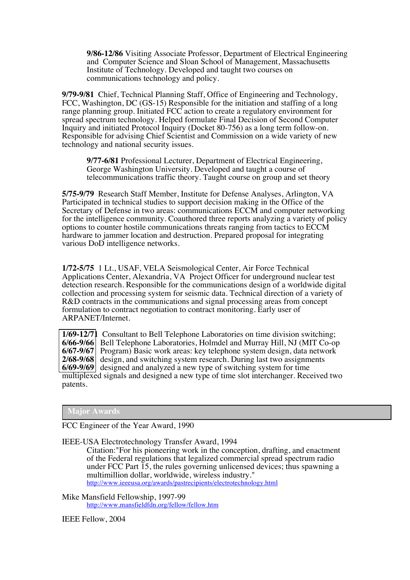**9/86-12/86** Visiting Associate Professor, Department of Electrical Engineering and Computer Science and Sloan School of Management, Massachusetts Institute of Technology. Developed and taught two courses on communications technology and policy.

**9/79-9/81** Chief, Technical Planning Staff, Office of Engineering and Technology, FCC, Washington, DC (GS-15) Responsible for the initiation and staffing of a long range planning group. Initiated FCC action to create a regulatory environment for spread spectrum technology. Helped formulate Final Decision of Second Computer Inquiry and initiated Protocol Inquiry (Docket 80-756) as a long term follow-on. Responsible for advising Chief Scientist and Commission on a wide variety of new technology and national security issues.

**9/77-6/81** Professional Lecturer, Department of Electrical Engineering, George Washington University. Developed and taught a course of telecommunications traffic theory. Taught course on group and set theory

**5/75-9/79** Research Staff Member, Institute for Defense Analyses, Arlington, VA Participated in technical studies to support decision making in the Office of the Secretary of Defense in two areas: communications ECCM and computer networking for the intelligence community. Coauthored three reports analyzing a variety of policy options to counter hostile communications threats ranging from tactics to ECCM hardware to jammer location and destruction. Prepared proposal for integrating various DoD intelligence networks.

**1/72-5/75** 1 Lt., USAF, VELA Seismological Center, Air Force Technical Applications Center, Alexandria, VA Project Officer for underground nuclear test detection research. Responsible for the communications design of a worldwide digital collection and processing system for seismic data. Technical direction of a variety of R&D contracts in the communications and signal processing areas from concept formulation to contract negotiation to contract monitoring. Early user of ARPANET/Internet.

**1/69-12/71** Consultant to Bell Telephone Laboratories on time division switching; **6/66-9/66** Bell Telephone Laboratories, Holmdel and Murray Hill, NJ (MIT Co-op **6/67-9/67** Program) Basic work areas: key telephone system design, data network **2/68-9/68** design, and switching system research. During last two assignments **6/69-9/69** designed and analyzed a new type of switching system for time multiplexed signals and designed a new type of time slot interchanger. Received two patents.

## **Major Awards**

FCC Engineer of the Year Award, 1990

IEEE-USA Electrotechnology Transfer Award, 1994

Citation:"For his pioneering work in the conception, drafting, and enactment of the Federal regulations that legalized commercial spread spectrum radio under FCC Part 15, the rules governing unlicensed devices; thus spawning a multimillion dollar, worldwide, wireless industry." http://www.ieeeusa.org/awards/pastrecipients/electrotechnology.html

Mike Mansfield Fellowship, 1997-99 http://www.mansfieldfdn.org/fellow/fellow.htm

IEEE Fellow, 2004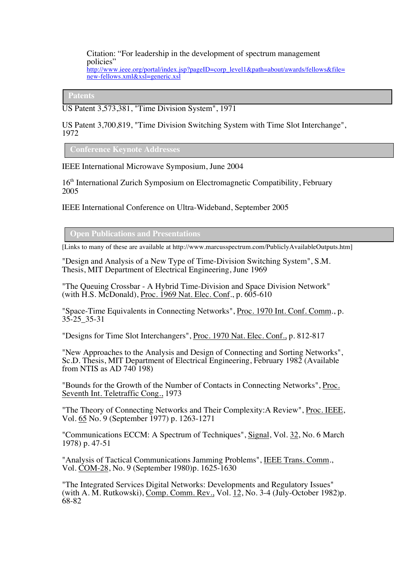#### Citation: "For leadership in the development of spectrum management policies" http://www.ieee.org/portal/index.jsp?pageID=corp\_level1&path=about/awards/fellows&file= new-fellows.xml&xsl=generic.xsl

**Patents**

US Patent 3,573,381, "Time Division System", 1971

US Patent 3,700,819, "Time Division Switching System with Time Slot Interchange", 1972

**Conference Keynote Addresses**

IEEE International Microwave Symposium, June 2004

16<sup>th</sup> International Zurich Symposium on Electromagnetic Compatibility, February 2005

IEEE International Conference on Ultra-Wideband, September 2005

**Open Publications and Presentations**

[Links to many of these are available at http://www.marcusspectrum.com/PubliclyAvailableOutputs.htm]

"Design and Analysis of a New Type of Time-Division Switching System", S.M. Thesis, MIT Department of Electrical Engineering, June 1969

"The Queuing Crossbar - A Hybrid Time-Division and Space Division Network" (with H.S. McDonald), Proc. 1969 Nat. Elec. Conf., p. 605-610

"Space-Time Equivalents in Connecting Networks", Proc. 1970 Int. Conf. Comm., p. 35-25\_35-31

"Designs for Time Slot Interchangers", Proc. 1970 Nat. Elec. Conf., p. 812-817

"New Approaches to the Analysis and Design of Connecting and Sorting Networks", Sc.D. Thesis, MIT Department of Electrical Engineering, February 1982 (Available from NTIS as AD 740 198)

"Bounds for the Growth of the Number of Contacts in Connecting Networks", Proc. Seventh Int. Teletraffic Cong., 1973

"The Theory of Connecting Networks and Their Complexity:A Review", Proc. IEEE, Vol. 65 No. 9 (September 1977) p. 1263-1271

"Communications ECCM: A Spectrum of Techniques", Signal, Vol. 32, No. 6 March 1978) p. 47-51

"Analysis of Tactical Communications Jamming Problems", IEEE Trans. Comm., Vol. COM-28, No. 9 (September 1980)p. 1625-1630

"The Integrated Services Digital Networks: Developments and Regulatory Issues" (with A. M. Rutkowski), Comp. Comm. Rev., Vol. 12, No. 3-4 (July-October 1982)p. 68-82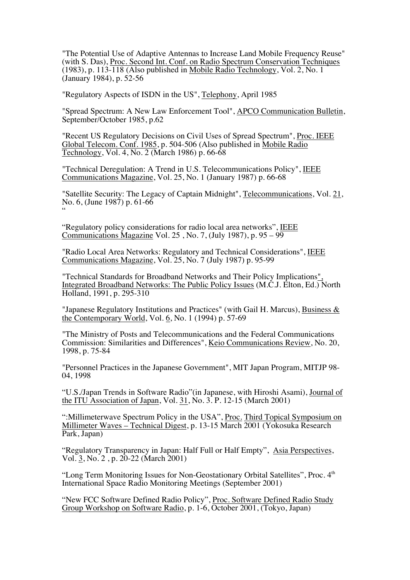"The Potential Use of Adaptive Antennas to Increase Land Mobile Frequency Reuse" (with S. Das), Proc. Second Int. Conf. on Radio Spectrum Conservation Techniques (1983), p. 113-118 (Also published in Mobile Radio Technology, Vol. 2, No. 1 (January 1984), p. 52-56

"Regulatory Aspects of ISDN in the US", Telephony, April 1985

"Spread Spectrum: A New Law Enforcement Tool", APCO Communication Bulletin, September/October 1985, p.62

"Recent US Regulatory Decisions on Civil Uses of Spread Spectrum", Proc. IEEE Global Telecom. Conf. 1985, p. 504-506 (Also published in Mobile Radio Technology, Vol. 4, No. 2 (March 1986) p. 66-68

"Technical Deregulation: A Trend in U.S. Telecommunications Policy", IEEE Communications Magazine, Vol. 25, No. 1 (January 1987) p. 66-68

"Satellite Security: The Legacy of Captain Midnight", Telecommunications, Vol. 21, No. 6, (June 1987) p. 61-66 "

"Regulatory policy considerations for radio local area networks", IEEE Communications Magazine Vol. 25 , No. 7, (July 1987), p. 95 – 99

"Radio Local Area Networks: Regulatory and Technical Considerations", IEEE Communications Magazine, Vol. 25, No. 7 (July 1987) p. 95-99

"Technical Standards for Broadband Networks and Their Policy Implications", Integrated Broadband Networks: The Public Policy Issues (M.C.J. Elton, Ed.) North Holland, 1991, p. 295-310

"Japanese Regulatory Institutions and Practices" (with Gail H. Marcus), Business & the Contemporary World, Vol. 6, No. 1 (1994) p. 57-69

"The Ministry of Posts and Telecommunications and the Federal Communications Commission: Similarities and Differences", Keio Communications Review, No. 20, 1998, p. 75-84

"Personnel Practices in the Japanese Government", MIT Japan Program, MITJP 98- 04, 1998

"U.S./Japan Trends in Software Radio"(in Japanese, with Hiroshi Asami), Journal of the ITU Association of Japan, Vol. 31, No. 3. P. 12-15 (March 2001)

":Millimeterwave Spectrum Policy in the USA", Proc. Third Topical Symposium on Millimeter Waves – Technical Digest, p. 13-15 March 2001 (Yokosuka Research Park, Japan)

"Regulatory Transparency in Japan: Half Full or Half Empty", Asia Perspectives, Vol. 3, No. 2 , p. 20-22 (March 2001)

"Long Term Monitoring Issues for Non-Geostationary Orbital Satellites", Proc. 4<sup>th</sup> International Space Radio Monitoring Meetings (September 2001)

"New FCC Software Defined Radio Policy", Proc. Software Defined Radio Study Group Workshop on Software Radio, p. 1-6, October 2001, (Tokyo, Japan)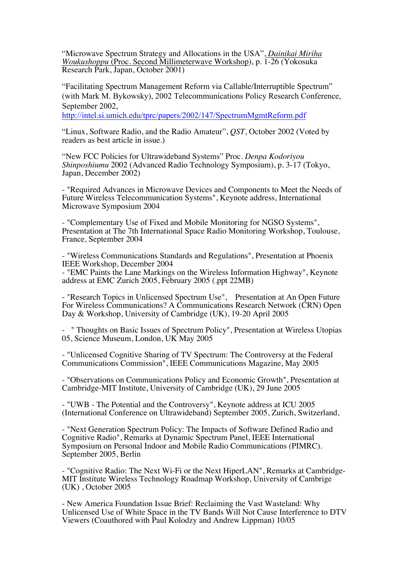"Microwave Spectrum Strategy and Allocations in the USA", *Dainikai Miriha Woukushoppu* (Proc. Second Millimeterwave Workshop), p. 1-26 (Yokosuka Research Park, Japan, October 2001)

"Facilitating Spectrum Management Reform via Callable/Interruptible Spectrum" (with Mark M. Bykowsky), 2002 Telecommunications Policy Research Conference, September 2002,

http://intel.si.umich.edu/tprc/papers/2002/147/SpectrumMgmtReform.pdf

"Linux, Software Radio, and the Radio Amateur", *QST*, October 2002 (Voted by readers as best article in issue.)

"New FCC Policies for Ultrawideband Systems" Proc. *Denpa Kodoriyou Shinposhiumu* 2002 (Advanced Radio Technology Symposium), p. 3-17 (Tokyo, Japan, December 2002)

- "Required Advances in Microwave Devices and Components to Meet the Needs of Future Wireless Telecommunication Systems", Keynote address, International Microwave Symposium 2004

- "Complementary Use of Fixed and Mobile Monitoring for NGSO Systems", Presentation at The 7th International Space Radio Monitoring Workshop, Toulouse, France, September 2004

- "Wireless Communications Standards and Regulations", Presentation at Phoenix IEEE Workshop, December 2004

- "EMC Paints the Lane Markings on the Wireless Information Highway", Keynote address at EMC Zurich 2005, February 2005 (.ppt 22MB)

- "Research Topics in Unlicensed Spectrum Use", Presentation at An Open Future For Wireless Communications? A Communications Research Network (CRN) Open Day & Workshop, University of Cambridge (UK), 19-20 April 2005

- " Thoughts on Basic Issues of Spectrum Policy", Presentation at Wireless Utopias 05, Science Museum, London, UK May 2005

- "Unlicensed Cognitive Sharing of TV Spectrum: The Controversy at the Federal Communications Commission", IEEE Communications Magazine, May 2005

- "Observations on Communications Policy and Economic Growth", Presentation at Cambridge-MIT Institute, University of Cambridge (UK), 29 June 2005

- "UWB - The Potential and the Controversy", Keynote address at ICU 2005 (International Conference on Ultrawideband) September 2005, Zurich, Switzerland,

- "Next Generation Spectrum Policy: The Impacts of Software Defined Radio and Cognitive Radio", Remarks at Dynamic Spectrum Panel, IEEE International Symposium on Personal Indoor and Mobile Radio Communications (PIMRC). September 2005, Berlin

- "Cognitive Radio: The Next Wi-Fi or the Next HiperLAN", Remarks at Cambridge-MIT Institute Wireless Technology Roadmap Workshop, University of Cambrige (UK) , October 2005

- New America Foundation Issue Brief: Reclaiming the Vast Wasteland: Why Unlicensed Use of White Space in the TV Bands Will Not Cause Interference to DTV Viewers (Coauthored with Paul Kolodzy and Andrew Lippman) 10/05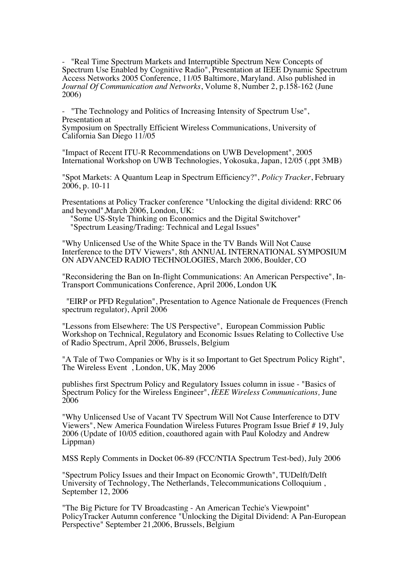- "Real Time Spectrum Markets and Interruptible Spectrum New Concepts of Spectrum Use Enabled by Cognitive Radio", Presentation at IEEE Dynamic Spectrum Access Networks 2005 Conference, 11/05 Baltimore, Maryland. Also published in *Journal Of Communication and Networks*, Volume 8, Number 2, p.158-162 (June 2006)

"The Technology and Politics of Increasing Intensity of Spectrum Use", Presentation at

Symposium on Spectrally Efficient Wireless Communications, University of California San Diego 11//05

"Impact of Recent ITU-R Recommendations on UWB Development", 2005 International Workshop on UWB Technologies, Yokosuka, Japan, 12/05 (.ppt 3MB)

"Spot Markets: A Quantum Leap in Spectrum Efficiency?", *Policy Tracker*, February 2006, p. 10-11

Presentations at Policy Tracker conference "Unlocking the digital dividend: RRC 06

and beyond",March 2006, London, UK: "Some US-Style Thinking on Economics and the Digital Switchover" "Spectrum Leasing/Trading: Technical and Legal Issues"

"Why Unlicensed Use of the White Space in the TV Bands Will Not Cause Interference to the DTV Viewers", 8th ANNUAL INTERNATIONAL SYMPOSIUM ON ADVANCED RADIO TECHNOLOGIES, March 2006, Boulder, CO

"Reconsidering the Ban on In-flight Communications: An American Perspective", In- Transport Communications Conference, April 2006, London UK

 "EIRP or PFD Regulation", Presentation to Agence Nationale de Frequences (French spectrum regulator), April 2006

"Lessons from Elsewhere: The US Perspective", European Commission Public Workshop on Technical, Regulatory and Economic Issues Relating to Collective Use of Radio Spectrum, April 2006, Brussels, Belgium

"A Tale of Two Companies or Why is it so Important to Get Spectrum Policy Right", The Wireless Event , London, UK, May 2006

publishes first Spectrum Policy and Regulatory Issues column in issue - "Basics of Spectrum Policy for the Wireless Engineer", *IEEE Wireless Communications,* June 2006

"Why Unlicensed Use of Vacant TV Spectrum Will Not Cause Interference to DTV Viewers", New America Foundation Wireless Futures Program Issue Brief # 19, July 2006 (Update of 10/05 edition, coauthored again with Paul Kolodzy and Andrew Lippman)

MSS Reply Comments in Docket 06-89 (FCC/NTIA Spectrum Test-bed), July 2006

"Spectrum Policy Issues and their Impact on Economic Growth", TUDelft/Delft University of Technology, The Netherlands, Telecommunications Colloquium , September 12, 2006

"The Big Picture for TV Broadcasting - An American Techie's Viewpoint" PolicyTracker Autumn conference "Unlocking the Digital Dividend: A Pan-European Perspective" September 21,2006, Brussels, Belgium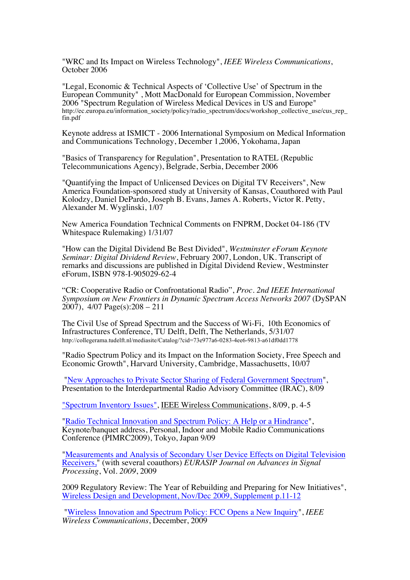"WRC and Its Impact on Wireless Technology", *IEEE Wireless Communications*, October 2006

"Legal, Economic & Technical Aspects of 'Collective Use' of Spectrum in the European Community" , Mott MacDonald for European Commission, November 2006 "Spectrum Regulation of Wireless Medical Devices in US and Europe" http://ec.europa.eu/information\_society/policy/radio\_spectrum/docs/workshop\_collective\_use/cus\_rep\_ fin.pdf

Keynote address at ISMICT - 2006 International Symposium on Medical Information and Communications Technology, December 1,2006, Yokohama, Japan

"Basics of Transparency for Regulation", Presentation to RATEL (Republic Telecommunications Agency), Belgrade, Serbia, December 2006

"Quantifying the Impact of Unlicensed Devices on Digital TV Receivers", New America Foundation-sponsored study at University of Kansas, Coauthored with Paul Kolodzy, Daniel DePardo, Joseph B. Evans, James A. Roberts, Victor R. Petty, Alexander M. Wyglinski, 1/07

New America Foundation Technical Comments on FNPRM, Docket 04-186 (TV Whitespace Rulemaking) 1/31/07

"How can the Digital Dividend Be Best Divided", *Westminster eForum Keynote Seminar: Digital Dividend Review*, February 2007, London, UK. Transcript of remarks and discussions are published in Digital Dividend Review, Westminster eForum, ISBN 978-I-905029-62-4

"CR: Cooperative Radio or Confrontational Radio", *Proc. 2nd IEEE International Symposium on New Frontiers in Dynamic Spectrum Access Networks 2007* (DySPAN  $2007$ ,  $4/07$  Page(s):  $208 - 211$ 

The Civil Use of Spread Spectrum and the Success of Wi-Fi, 10th Economics of Infrastructures Conference, TU Delft, Delft, The Netherlands, 5/31/07 http://collegerama.tudelft.nl/mediasite/Catalog/?cid=73e977a6-0283-4ee6-9813-a61df0dd1778

"Radio Spectrum Policy and its Impact on the Information Society, Free Speech and Economic Growth", Harvard University, Cambridge, Massachusetts, 10/07

"New Approaches to Private Sector Sharing of Federal Government Spectrum", Presentation to the Interdepartmental Radio Advisory Committee (IRAC), 8/09

"Spectrum Inventory Issues", IEEE Wireless Communications, 8/09, p. 4-5

"Radio Technical Innovation and Spectrum Policy: A Help or a Hindrance", Keynote/banquet address, Personal, Indoor and Mobile Radio Communications Conference (PIMRC2009), Tokyo, Japan 9/09

"Measurements and Analysis of Secondary User Device Effects on Digital Television Receivers," (with several coauthors) *EURASIP Journal on Advances in Signal Processing*, Vol. *2009*, 2009

2009 Regulatory Review: The Year of Rebuilding and Preparing for New Initiatives", Wireless Design and Development, Nov/Dec 2009, Supplement p.11-12

"Wireless Innovation and Spectrum Policy: FCC Opens a New Inquiry", *IEEE Wireless Communications*, December, 2009